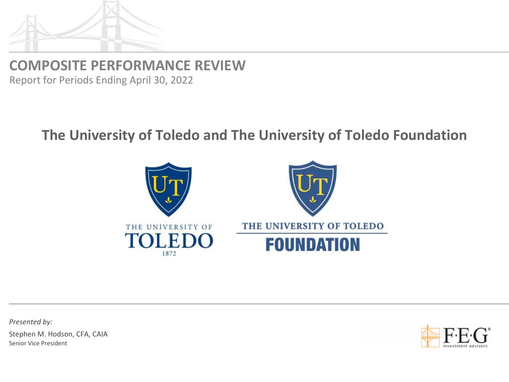

**COMPOSITE PERFORMANCE REVIEW**

Report for Periods Ending April 30, 2022

## **The University of Toledo and The University of Toledo Foundation**



*Presented by:*

Stephen M. Hodson, CFA, CAIA Senior Vice President

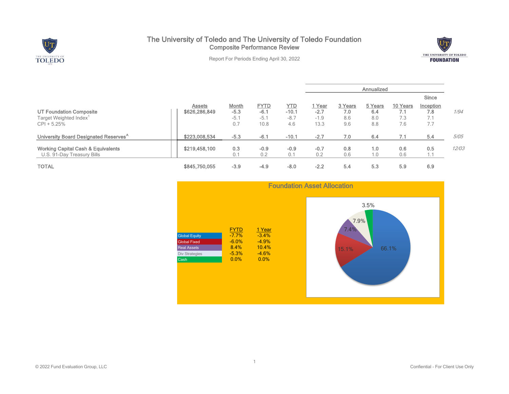

## The University of Toledo and The University of Toledo Foundation Composite Performance Review



Report For Periods Ending April 30, 2022

|                                                                                |                                |                                  |                                         |                                 | Annualized                         |                              |                              |                               |                                             |       |
|--------------------------------------------------------------------------------|--------------------------------|----------------------------------|-----------------------------------------|---------------------------------|------------------------------------|------------------------------|------------------------------|-------------------------------|---------------------------------------------|-------|
|                                                                                |                                |                                  |                                         |                                 |                                    |                              |                              |                               | Since                                       |       |
| UT Foundation Composite<br>Target Weighted Index <sup>1</sup><br>$CPI + 5.25%$ | <b>Assets</b><br>\$626,286,849 | Month<br>$-5.3$<br>$-5.1$<br>0.7 | <b>FYTD</b><br>$-6.1$<br>$-5.1$<br>10.8 | YTD<br>$-10.1$<br>$-8.7$<br>4.6 | ⊤ Year<br>$-2.7$<br>$-1.9$<br>13.3 | 3 Years<br>7.0<br>8.6<br>9.6 | 5 Years<br>6.4<br>8.0<br>8.8 | 10 Years<br>7.1<br>7.3<br>7.6 | Inception<br>7.8<br>74<br>$\sqrt{1}$<br>7.7 | 1/94  |
| University Board Designated Reserves <sup>^</sup>                              | \$223,008,534                  | $-5.3$                           | $-6.1$                                  | $-10.1$                         | $-2.7$                             | 7.0                          | 6.4                          | 7.1                           | 5.4                                         | 5/05  |
| <b>Working Capital Cash &amp; Equivalents</b><br>U.S. 91-Day Treasury Bills    | \$219,458,100                  | 0.3<br>0.1                       | $-0.9$<br>0.2                           | $-0.9$<br>0.1                   | $-0.7$<br>0.2                      | 0.8<br>0.6                   | 1.0<br>1.0                   | 0.6<br>0.6                    | 0.5                                         | 12/03 |
| <b>TOTAL</b>                                                                   | \$845,750,055                  | $-3.9$                           | $-4.9$                                  | $-8.0$                          | $-2.2$                             | 5.4                          | 5.3                          | 5.9                           | 6.9                                         |       |